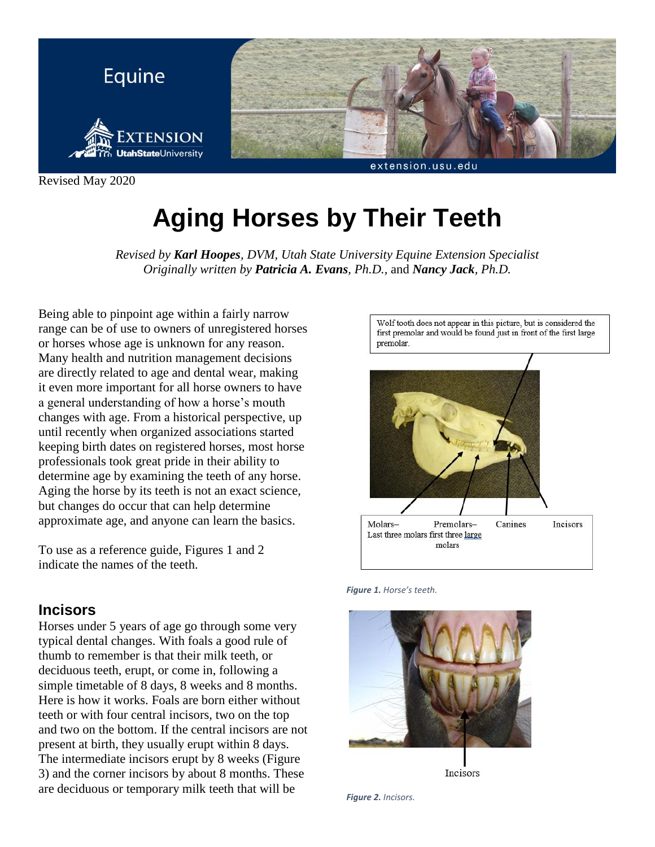

Revised May 2020

# **Aging Horses by Their Teeth**

*Revised by Karl Hoopes, DVM, Utah State University Equine Extension Specialist Originally written by Patricia A. Evans, Ph.D.,* and *Nancy Jack, Ph.D.*

Being able to pinpoint age within a fairly narrow range can be of use to owners of unregistered horses or horses whose age is unknown for any reason. Many health and nutrition management decisions are directly related to age and dental wear, making it even more important for all horse owners to have a general understanding of how a horse's mouth changes with age. From a historical perspective, up until recently when organized associations started keeping birth dates on registered horses, most horse professionals took great pride in their ability to determine age by examining the teeth of any horse. Aging the horse by its teeth is not an exact science, but changes do occur that can help determine approximate age, and anyone can learn the basics.

To use as a reference guide, Figures 1 and 2 indicate the names of the teeth.

## **Incisors**

Horses under 5 years of age go through some very typical dental changes. With foals a good rule of thumb to remember is that their milk teeth, or deciduous teeth, erupt, or come in, following a simple timetable of 8 days, 8 weeks and 8 months. Here is how it works. Foals are born either without teeth or with four central incisors, two on the top and two on the bottom. If the central incisors are not present at birth, they usually erupt within 8 days. The intermediate incisors erupt by 8 weeks (Figure 3) and the corner incisors by about 8 months. These are deciduous or temporary milk teeth that will be



*Figure 1. Horse's teeth.*





*Figure 2. Incisors.*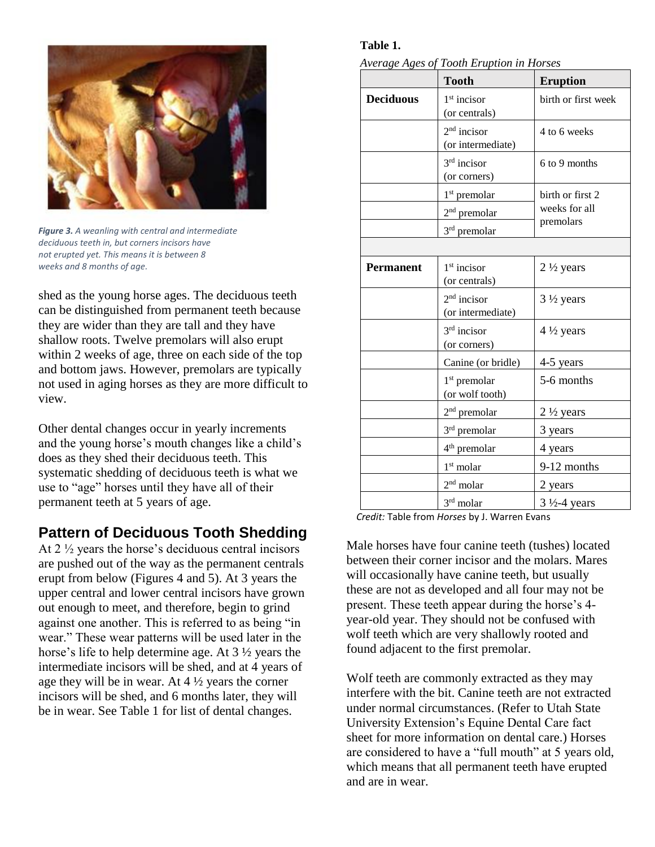

*Figure 3. A weanling with central and intermediate deciduous teeth in, but corners incisors have not erupted yet. This means it is between 8 weeks and 8 months of age.*

shed as the young horse ages. The deciduous teeth can be distinguished from permanent teeth because they are wider than they are tall and they have shallow roots. Twelve premolars will also erupt within 2 weeks of age, three on each side of the top and bottom jaws. However, premolars are typically not used in aging horses as they are more difficult to view.

Other dental changes occur in yearly increments and the young horse's mouth changes like a child's does as they shed their deciduous teeth. This systematic shedding of deciduous teeth is what we use to "age" horses until they have all of their permanent teeth at 5 years of age.

## **Pattern of Deciduous Tooth Shedding**

At 2 ½ years the horse's deciduous central incisors are pushed out of the way as the permanent centrals erupt from below (Figures 4 and 5). At 3 years the upper central and lower central incisors have grown out enough to meet, and therefore, begin to grind against one another. This is referred to as being "in wear." These wear patterns will be used later in the horse's life to help determine age. At 3 ½ years the intermediate incisors will be shed, and at 4 years of age they will be in wear. At  $4\frac{1}{2}$  years the corner incisors will be shed, and 6 months later, they will be in wear. See Table 1 for list of dental changes.

## **Table 1.**

*Average Ages of Tooth Eruption in Horses*

|                  | <b>Tooth</b>                                | <b>Eruption</b>                                |
|------------------|---------------------------------------------|------------------------------------------------|
| <b>Deciduous</b> | $1st$ incisor<br>(or centrals)              | birth or first week                            |
|                  | $2nd$ incisor<br>(or intermediate)          | 4 to 6 weeks                                   |
|                  | $3rd$ incisor<br>(or corners)               | 6 to 9 months                                  |
|                  | 1 <sup>st</sup> premolar                    | birth or first 2<br>weeks for all<br>premolars |
|                  | 2 <sup>nd</sup> premolar                    |                                                |
|                  | 3 <sup>rd</sup> premolar                    |                                                |
|                  |                                             |                                                |
| <b>Permanent</b> | $1st$ incisor<br>(or centrals)              | $2\frac{1}{2}$ years                           |
|                  | $2nd$ incisor<br>(or intermediate)          | $3\frac{1}{2}$ years                           |
|                  | $3rd$ incisor<br>(or corners)               | $4\frac{1}{2}$ years                           |
|                  | Canine (or bridle)                          | 4-5 years                                      |
|                  | 1 <sup>st</sup> premolar<br>(or wolf tooth) | 5-6 months                                     |
|                  | $2nd$ premolar                              | $2\frac{1}{2}$ years                           |
|                  | 3 <sup>rd</sup> premolar                    | 3 years                                        |
|                  | 4 <sup>th</sup> premolar                    | 4 years                                        |
|                  | 1 <sup>st</sup> molar                       | 9-12 months                                    |
|                  | 2 <sup>nd</sup> molar                       | 2 years                                        |
|                  | $3rd$ molar                                 | $3\frac{1}{2}$ -4 years                        |

*Credit:* Table from *Horses* by J. Warren Evans

Male horses have four canine teeth (tushes) located between their corner incisor and the molars. Mares will occasionally have canine teeth, but usually these are not as developed and all four may not be present. These teeth appear during the horse's 4 year-old year. They should not be confused with wolf teeth which are very shallowly rooted and found adjacent to the first premolar.

Wolf teeth are commonly extracted as they may interfere with the bit. Canine teeth are not extracted under normal circumstances. (Refer to Utah State University Extension's Equine Dental Care fact sheet for more information on dental care.) Horses are considered to have a "full mouth" at 5 years old, which means that all permanent teeth have erupted and are in wear.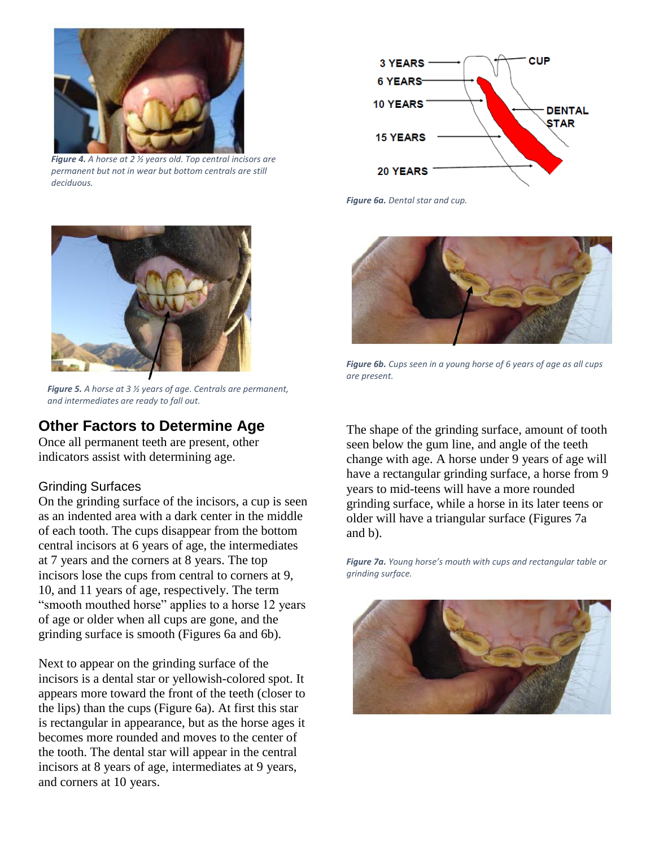

*Figure 4. A horse at 2 ½ years old. Top central incisors are permanent but not in wear but bottom centrals are still deciduous.*



*Figure 5. A horse at 3 ½ years of age. Centrals are permanent, and intermediates are ready to fall out.*

## **Other Factors to Determine Age**

Once all permanent teeth are present, other indicators assist with determining age.

## Grinding Surfaces

On the grinding surface of the incisors, a cup is seen as an indented area with a dark center in the middle of each tooth. The cups disappear from the bottom central incisors at 6 years of age, the intermediates at 7 years and the corners at 8 years. The top incisors lose the cups from central to corners at 9, 10, and 11 years of age, respectively. The term "smooth mouthed horse" applies to a horse 12 years of age or older when all cups are gone, and the grinding surface is smooth (Figures 6a and 6b).

Next to appear on the grinding surface of the incisors is a dental star or yellowish-colored spot. It appears more toward the front of the teeth (closer to the lips) than the cups (Figure 6a). At first this star is rectangular in appearance, but as the horse ages it becomes more rounded and moves to the center of the tooth. The dental star will appear in the central incisors at 8 years of age, intermediates at 9 years, and corners at 10 years.



*Figure 6a. Dental star and cup.*



*Figure 6b. Cups seen in a young horse of 6 years of age as all cups are present.*

The shape of the grinding surface, amount of tooth seen below the gum line, and angle of the teeth change with age. A horse under 9 years of age will have a rectangular grinding surface, a horse from 9 years to mid-teens will have a more rounded grinding surface, while a horse in its later teens or older will have a triangular surface (Figures 7a and b).

*Figure 7a. Young horse's mouth with cups and rectangular table or grinding surface.*

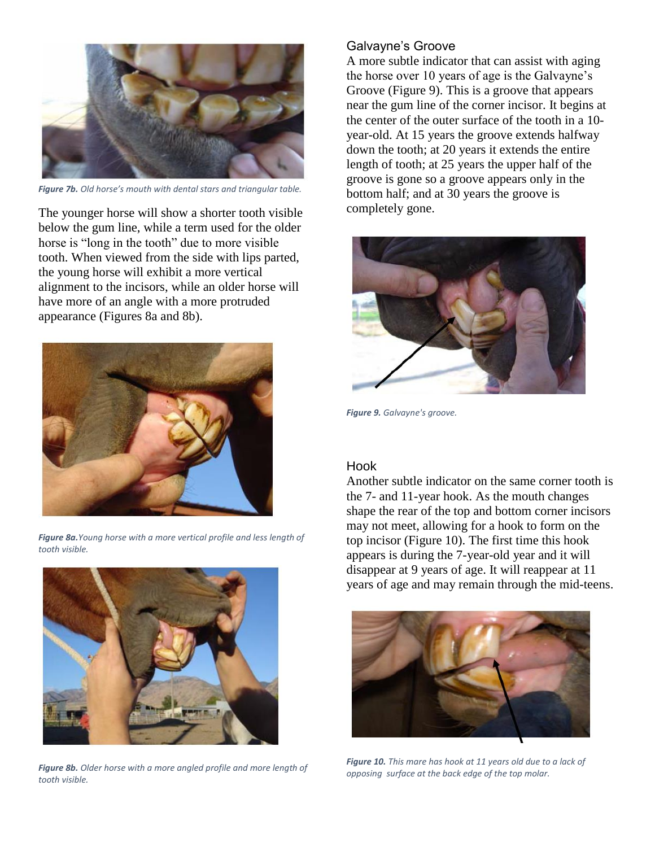

*Figure 7b. Old horse's mouth with dental stars and triangular table.*

The younger horse will show a shorter tooth visible below the gum line, while a term used for the older horse is "long in the tooth" due to more visible tooth. When viewed from the side with lips parted, the young horse will exhibit a more vertical alignment to the incisors, while an older horse will have more of an angle with a more protruded appearance (Figures 8a and 8b).



*Figure 8a.Young horse with a more vertical profile and less length of tooth visible.*



*Figure 8b. Older horse with a more angled profile and more length of tooth visible.* 

### Galvayne's Groove

A more subtle indicator that can assist with aging the horse over 10 years of age is the Galvayne's Groove (Figure 9). This is a groove that appears near the gum line of the corner incisor. It begins at the center of the outer surface of the tooth in a 10 year-old. At 15 years the groove extends halfway down the tooth; at 20 years it extends the entire length of tooth; at 25 years the upper half of the groove is gone so a groove appears only in the bottom half; and at 30 years the groove is completely gone.



*Figure 9. Galvayne's groove.*

#### Hook

Another subtle indicator on the same corner tooth is the 7- and 11-year hook. As the mouth changes shape the rear of the top and bottom corner incisors may not meet, allowing for a hook to form on the top incisor (Figure 10). The first time this hook appears is during the 7-year-old year and it will disappear at 9 years of age. It will reappear at 11 years of age and may remain through the mid-teens.



*Figure 10. This mare has hook at 11 years old due to a lack of opposing surface at the back edge of the top molar.*